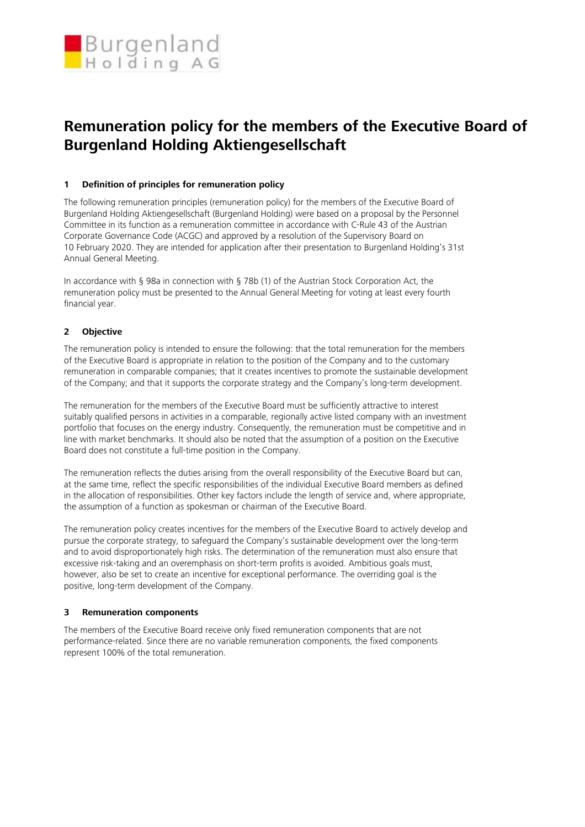

# **Remuneration policy for the members of the Executive Board of Burgenland Holding Aktiengesellschaft**

## **1 Definition of principles for remuneration policy**

The following remuneration principles (remuneration policy) for the members of the Executive Board of Burgenland Holding Aktiengesellschaft (Burgenland Holding) were based on a proposal by the Personnel Committee in its function as a remuneration committee in accordance with C-Rule 43 of the Austrian Corporate Governance Code (ACGC) and approved by a resolution of the Supervisory Board on 10 February 2020. They are intended for application after their presentation to Burgenland Holding's 31st Annual General Meeting.

In accordance with § 98a in connection with § 78b (1) of the Austrian Stock Corporation Act, the remuneration policy must be presented to the Annual General Meeting for voting at least every fourth financial year.

## **2 Objective**

The remuneration policy is intended to ensure the following: that the total remuneration for the members of the Executive Board is appropriate in relation to the position of the Company and to the customary remuneration in comparable companies; that it creates incentives to promote the sustainable development of the Company; and that it supports the corporate strategy and the Company's long-term development.

The remuneration for the members of the Executive Board must be sufficiently attractive to interest suitably qualified persons in activities in a comparable, regionally active listed company with an investment portfolio that focuses on the energy industry. Consequently, the remuneration must be competitive and in line with market benchmarks. It should also be noted that the assumption of a position on the Executive Board does not constitute a full-time position in the Company.

The remuneration reflects the duties arising from the overall responsibility of the Executive Board but can, at the same time, reflect the specific responsibilities of the individual Executive Board members as defined in the allocation of responsibilities. Other key factors include the length of service and, where appropriate, the assumption of a function as spokesman or chairman of the Executive Board.

The remuneration policy creates incentives for the members of the Executive Board to actively develop and pursue the corporate strategy, to safeguard the Company's sustainable development over the long-term and to avoid disproportionately high risks. The determination of the remuneration must also ensure that excessive risk-taking and an overemphasis on short-term profits is avoided. Ambitious goals must, however, also be set to create an incentive for exceptional performance. The overriding goal is the positive, long-term development of the Company.

## **3 Remuneration components**

The members of the Executive Board receive only fixed remuneration components that are not performance-related. Since there are no variable remuneration components, the fixed components represent 100% of the total remuneration.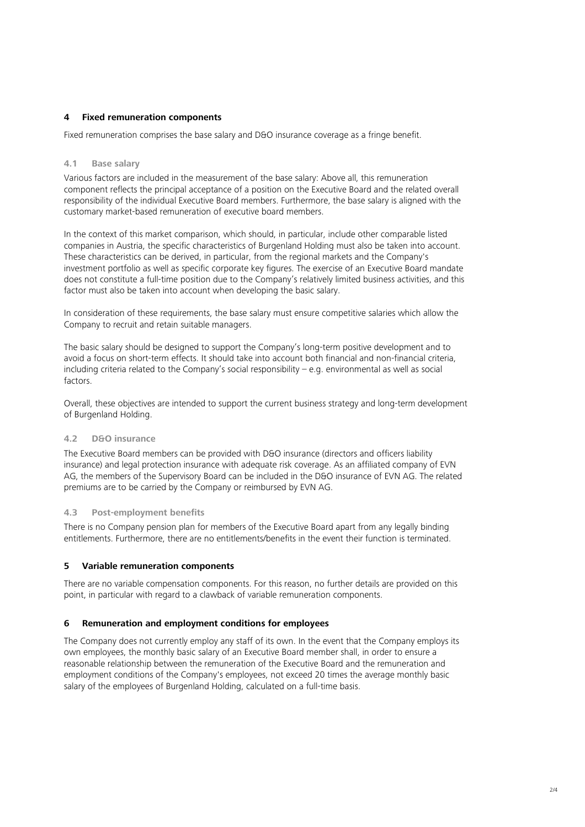## **4 Fixed remuneration components**

Fixed remuneration comprises the base salary and D&O insurance coverage as a fringe benefit.

#### **4.1 Base salary**

Various factors are included in the measurement of the base salary: Above all, this remuneration component reflects the principal acceptance of a position on the Executive Board and the related overall responsibility of the individual Executive Board members. Furthermore, the base salary is aligned with the customary market-based remuneration of executive board members.

In the context of this market comparison, which should, in particular, include other comparable listed companies in Austria, the specific characteristics of Burgenland Holding must also be taken into account. These characteristics can be derived, in particular, from the regional markets and the Company's investment portfolio as well as specific corporate key figures. The exercise of an Executive Board mandate does not constitute a full-time position due to the Company's relatively limited business activities, and this factor must also be taken into account when developing the basic salary.

In consideration of these requirements, the base salary must ensure competitive salaries which allow the Company to recruit and retain suitable managers.

The basic salary should be designed to support the Company's long-term positive development and to avoid a focus on short-term effects. It should take into account both financial and non-financial criteria, including criteria related to the Company's social responsibility – e.g. environmental as well as social factors.

Overall, these objectives are intended to support the current business strategy and long-term development of Burgenland Holding.

#### **4.2 D&O insurance**

The Executive Board members can be provided with D&O insurance (directors and officers liability insurance) and legal protection insurance with adequate risk coverage. As an affiliated company of EVN AG, the members of the Supervisory Board can be included in the D&O insurance of EVN AG. The related premiums are to be carried by the Company or reimbursed by EVN AG.

## **4.3 Post-employment benefits**

There is no Company pension plan for members of the Executive Board apart from any legally binding entitlements. Furthermore, there are no entitlements/benefits in the event their function is terminated.

## **5 Variable remuneration components**

There are no variable compensation components. For this reason, no further details are provided on this point, in particular with regard to a clawback of variable remuneration components.

#### **6 Remuneration and employment conditions for employees**

The Company does not currently employ any staff of its own. In the event that the Company employs its own employees, the monthly basic salary of an Executive Board member shall, in order to ensure a reasonable relationship between the remuneration of the Executive Board and the remuneration and employment conditions of the Company's employees, not exceed 20 times the average monthly basic salary of the employees of Burgenland Holding, calculated on a full-time basis.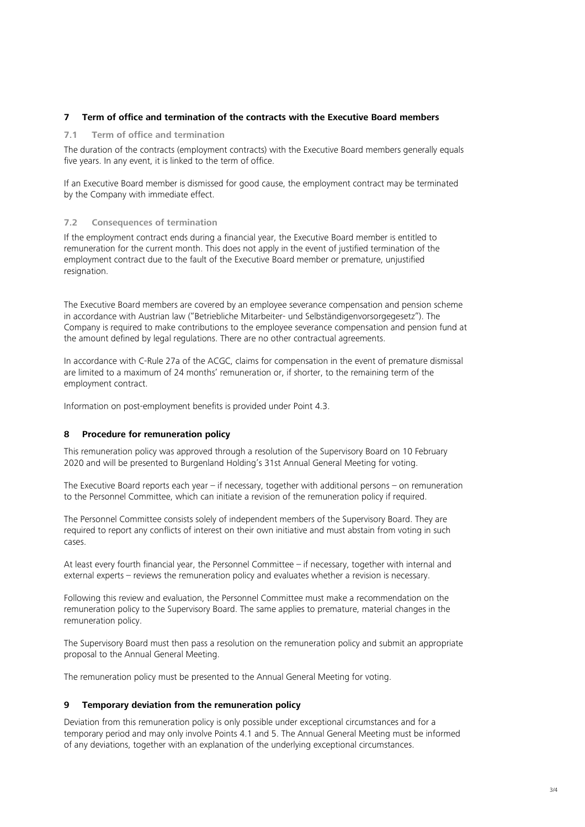## **7 Term of office and termination of the contracts with the Executive Board members**

#### **7.1 Term of office and termination**

The duration of the contracts (employment contracts) with the Executive Board members generally equals five years. In any event, it is linked to the term of office.

If an Executive Board member is dismissed for good cause, the employment contract may be terminated by the Company with immediate effect.

#### **7.2 Consequences of termination**

If the employment contract ends during a financial year, the Executive Board member is entitled to remuneration for the current month. This does not apply in the event of justified termination of the employment contract due to the fault of the Executive Board member or premature, unjustified resignation.

The Executive Board members are covered by an employee severance compensation and pension scheme in accordance with Austrian law ("Betriebliche Mitarbeiter- und Selbständigenvorsorgegesetz"). The Company is required to make contributions to the employee severance compensation and pension fund at the amount defined by legal regulations. There are no other contractual agreements.

In accordance with C-Rule 27a of the ACGC, claims for compensation in the event of premature dismissal are limited to a maximum of 24 months' remuneration or, if shorter, to the remaining term of the employment contract.

Information on post-employment benefits is provided under Point 4.3.

## **8 Procedure for remuneration policy**

This remuneration policy was approved through a resolution of the Supervisory Board on 10 February 2020 and will be presented to Burgenland Holding's 31st Annual General Meeting for voting.

The Executive Board reports each year – if necessary, together with additional persons – on remuneration to the Personnel Committee, which can initiate a revision of the remuneration policy if required.

The Personnel Committee consists solely of independent members of the Supervisory Board. They are required to report any conflicts of interest on their own initiative and must abstain from voting in such cases.

At least every fourth financial year, the Personnel Committee – if necessary, together with internal and external experts – reviews the remuneration policy and evaluates whether a revision is necessary.

Following this review and evaluation, the Personnel Committee must make a recommendation on the remuneration policy to the Supervisory Board. The same applies to premature, material changes in the remuneration policy.

The Supervisory Board must then pass a resolution on the remuneration policy and submit an appropriate proposal to the Annual General Meeting.

The remuneration policy must be presented to the Annual General Meeting for voting.

#### **9 Temporary deviation from the remuneration policy**

Deviation from this remuneration policy is only possible under exceptional circumstances and for a temporary period and may only involve Points 4.1 and 5. The Annual General Meeting must be informed of any deviations, together with an explanation of the underlying exceptional circumstances.